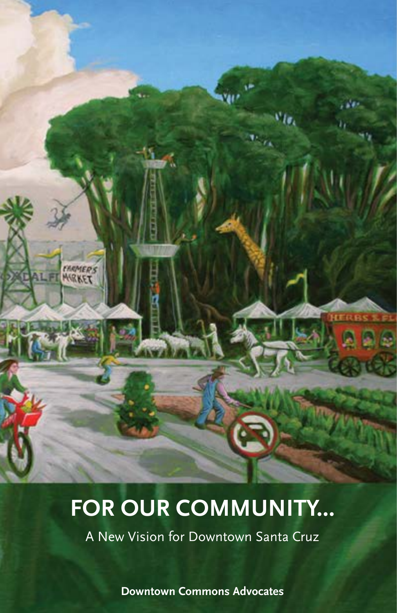**FOR OUR COMMUNITY...**

**FRAMERS** 

A New Vision for Downtown Santa Cruz

**Downtown Commons Advocates**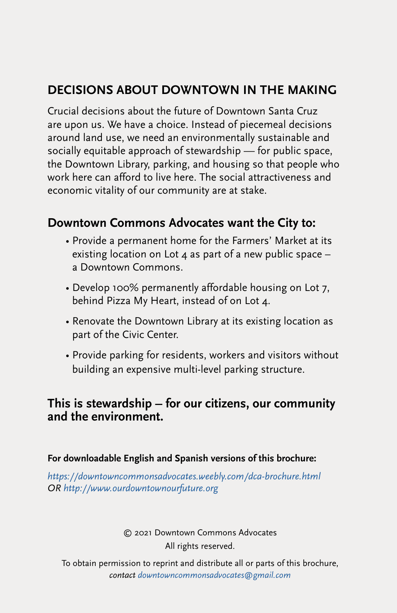### **DECISIONS ABOUT DOWNTOWN IN THE MAKING**

Crucial decisions about the future of Downtown Santa Cruz are upon us. We have a choice. Instead of piecemeal decisions around land use, we need an environmentally sustainable and socially equitable approach of stewardship — for public space, the Downtown Library, parking, and housing so that people who work here can afford to live here. The social attractiveness and economic vitality of our community are at stake.

#### **Downtown Commons Advocates want the City to:**

- Provide a permanent home for the Farmers' Market at its existing location on Lot  $4$  as part of a new public space  $$ a Downtown Commons.
- Develop 100% permanently affordable housing on Lot 7, behind Pizza My Heart, instead of on Lot 4.
- Renovate the Downtown Library at its existing location as part of the Civic Center.
- Provide parking for residents, workers and visitors without building an expensive multi-level parking structure.

#### **This is stewardship – for our citizens, our community and the environment.**

#### **For downloadable English and Spanish versions of this brochure:**

*<https://downtowncommonsadvocates.weebly.com/dca-brochure.html> OR<http://www.ourdowntownourfuture.org>*

> © 2021 Downtown Commons Advocates All rights reserved.

To obtain permission to reprint and distribute all or parts of this brochure, *contact [downtowncommonsadvocates@gmail.com](mailto:?subject=)*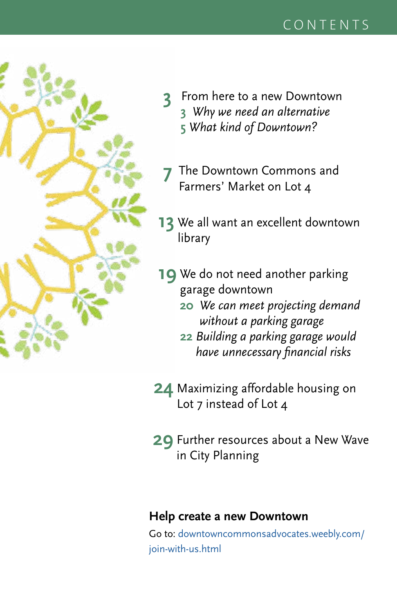

- 0**3** From here to a new Downtown *0***3** *Why we need an alternative 0***5** *What kind of Downtown?*
- 0**7** The Downtown Commons and Farmers' Market on Lot 4
- **13** We all want an excellent downtown library
- **19** We do not need another parking garage downtown
	- **20** *We can meet projecting demand without a parking garage*
	- **22** *Building a parking garage would have unnecessary financial risks*
- **24** Maximizing affordable housing on Lot 7 instead of Lot 4
- **29** Further resources about a New Wave in City Planning

#### **Help create a new Downtown**

Go to: [downtowncommonsadvocates.weebly.com/](http://downtowncommonsadvocates.weebly.com/join-with-us.html) [join-with-us.html](http://downtowncommonsadvocates.weebly.com/join-with-us.html)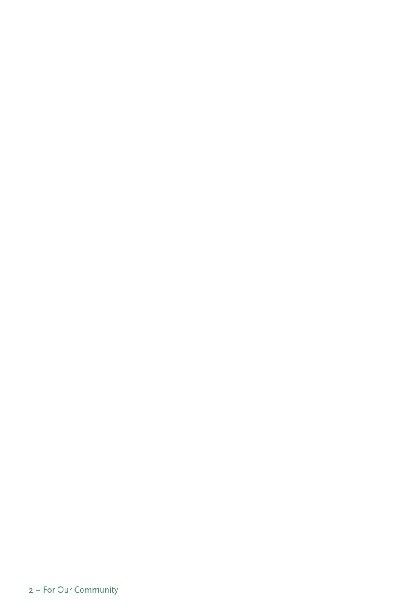2 – For Our Community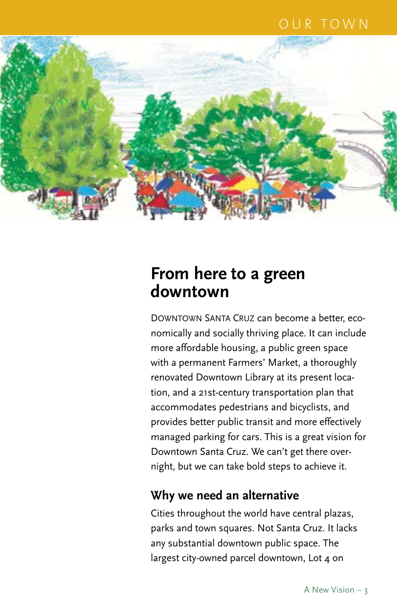#### OUR TOWN



# **From here to a green downtown**

Downtown Santa Cruz can become a better, economically and socially thriving place. It can include more affordable housing, a public green space with a permanent Farmers' Market, a thoroughly renovated Downtown Library at its present location, and a 21st-century transportation plan that accommodates pedestrians and bicyclists, and provides better public transit and more effectively managed parking for cars. This is a great vision for Downtown Santa Cruz. We can't get there overnight, but we can take bold steps to achieve it.

#### **Why we need an alternative**

Cities throughout the world have central plazas, parks and town squares. Not Santa Cruz. It lacks any substantial downtown public space. The largest city-owned parcel downtown, Lot 4 on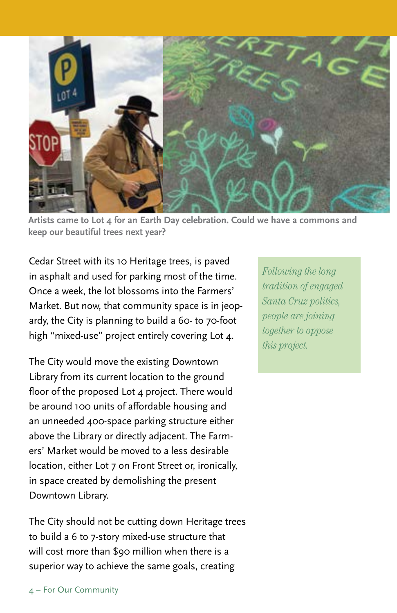

**Artists came to Lot 4 for an Earth Day celebration. Could we have a commons and keep our beautiful trees next year?** 

Cedar Street with its 10 Heritage trees, is paved in asphalt and used for parking most of the time. Once a week, the lot blossoms into the Farmers' Market. But now, that community space is in jeopardy, the City is planning to build a 60- to 70-foot high "mixed-use" project entirely covering Lot 4.

The City would move the existing Downtown Library from its current location to the ground floor of the proposed Lot 4 project. There would be around 100 units of affordable housing and an unneeded 400-space parking structure either above the Library or directly adjacent. The Farmers' Market would be moved to a less desirable location, either Lot 7 on Front Street or, ironically, in space created by demolishing the present Downtown Library.

The City should not be cutting down Heritage trees to build a 6 to 7-story mixed-use structure that will cost more than \$90 million when there is a superior way to achieve the same goals, creating

*Following the long tradition of engaged Santa Cruz politics, people are joining together to oppose this project.*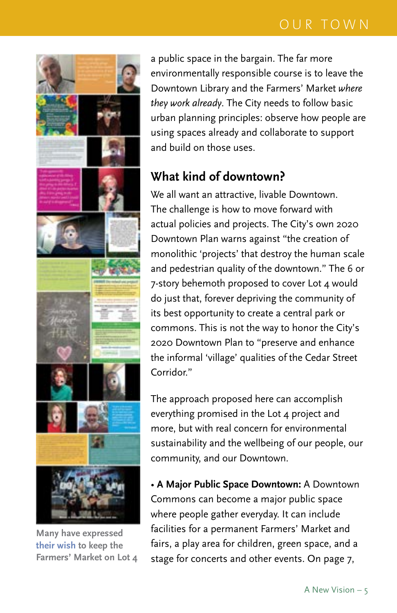### OUR TOWN



**Many have expressed [their wish](https://www.reimaginesantacruz.com/blank-page) to keep the Farmers' Market on Lot 4** 

a public space in the bargain. The far more environmentally responsible course is to leave the Downtown Library and the Farmers' Market *where they work already*. The City needs to follow basic urban planning principles: observe how people are using spaces already and collaborate to support and build on those uses.

#### **What kind of downtown?**

We all want an attractive, livable Downtown. The challenge is how to move forward with actual policies and projects. The City's own [2020](https://www.cityofsantacruz.com/home/showpublisheddocument/71059/637475189024530000)  [Downtown Plan](https://www.cityofsantacruz.com/home/showpublisheddocument/71059/637475189024530000) warns against "the creation of monolithic 'projects' that destroy the human scale and pedestrian quality of the downtown." The 6 or 7-story behemoth proposed to cover Lot 4 would do just that, forever depriving the community of its best opportunity to create a central park or commons. This is not the way to honor the City's 2020 Downtown Plan to "preserve and enhance the informal 'village' qualities of the Cedar Street Corridor."

The approach proposed here can accomplish everything promised in the Lot 4 project and more, but with real concern for environmental sustainability and the wellbeing of our people, our community, and our Downtown.

• **A Major Public Space Downtown:** A Downtown Commons can become a major public space where people gather everyday. It can include facilities for a permanent Farmers' Market and fairs, a play area for children, green space, and a stage for concerts and other events. On page 7,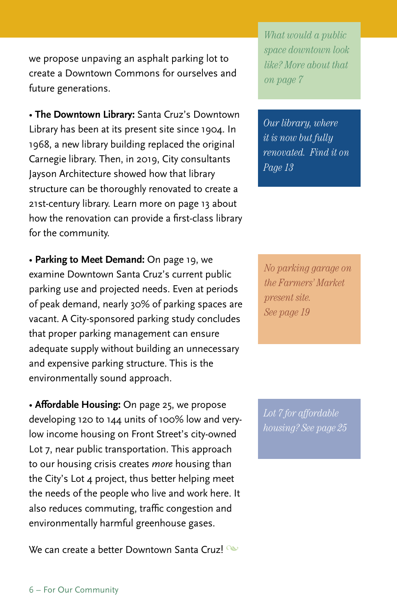we propose unpaving an asphalt parking lot to create a Downtown Commons for ourselves and future generations.

• **The Downtown Library:** Santa Cruz's Downtown Library has been at its present site since 1904. In 1968, a new library building replaced the original Carnegie library. Then, in 2019, City consultants Jayson Architecture showed how that library structure can be thoroughly renovated to create a 21st-century library. Learn more on page 13 about how the renovation can provide a first-class library for the community.

• **Parking to Meet Demand:** On page 19, we examine Downtown Santa Cruz's current public parking use and projected needs. Even at periods of peak demand, nearly 30% of parking spaces are vacant. A City-sponsored parking study concludes that proper parking management can ensure adequate supply without building an unnecessary and expensive parking structure. This is the environmentally sound approach.

• **Affordable Housing:** On page 25, we propose developing 120 to 144 units of 100% low and verylow income housing on Front Street's city-owned Lot 7, near public transportation. This approach to our housing crisis creates *more* housing than the City's Lot  $4$  project, thus better helping meet the needs of the people who live and work here. It also reduces commuting, traffic congestion and environmentally harmful greenhouse gases.

We can create a better Downtown Santa Cruz!

*What would a public space downtown look like? More about that on page 7*

*Our library, where it is now but fully renovated. Find it on Page 13*

*No parking garage on the Farmers' Market present site. See page 19*

*Lot 7 for affordable housing? See page 25*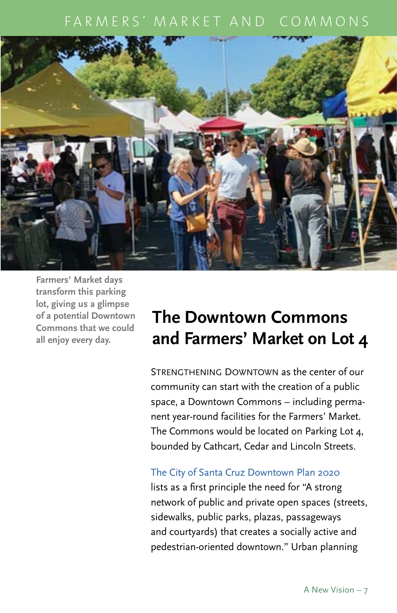## FARMERS' MARKET AND COMMONS



**Farmers' Market days transform this parking lot, giving us a glimpse of a potential Downtown Commons that we could all enjoy every day.**

# **The Downtown Commons and Farmers' Market on Lot 4**

STRENGTHENING DOWNTOWN as the center of our community can start with the creation of a public space, a Downtown Commons – including permanent year-round facilities for the Farmers' Market. The Commons would be located on Parking Lot 4, bounded by Cathcart, Cedar and Lincoln Streets.

#### [The City of Santa Cruz Downtown Plan 2020](https://www.cityofsantacruz.com/home/showpublisheddocument/71059/637475189024530000)

lists as a first principle the need for "A strong network of public and private open spaces (streets, sidewalks, public parks, plazas, passageways and courtyards) that creates a socially active and pedestrian-oriented downtown." Urban planning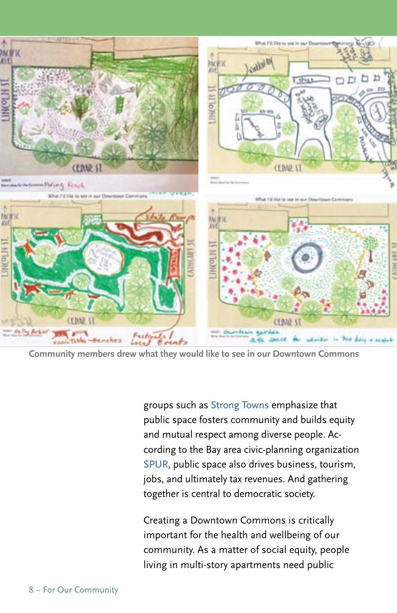

**Community members drew what they would like to see in our Downtown Commons**

groups such as [Strong Towns](https://www.strongtowns.org) emphasize that public space fosters community and builds equity and mutual respect among diverse people. According to the Bay area civic-planning organization [SPUR,](https://www.spur.org) public space also drives business, tourism, jobs, and ultimately tax revenues. And gathering together is central to democratic society.

Creating a Downtown Commons is critically important for the health and wellbeing of our community. As a matter of social equity, people living in multi-story apartments need public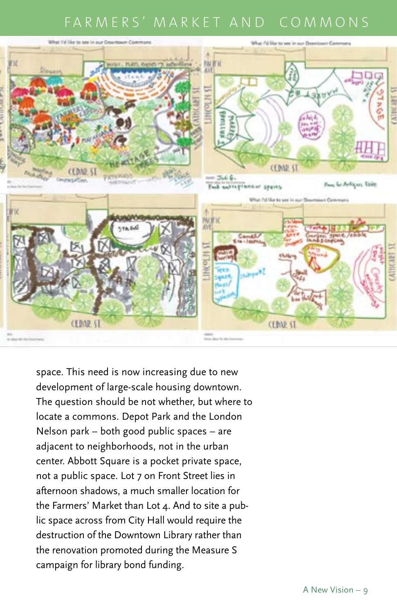# FARMERS' MARKET AND COMMONS



space. This need is now increasing due to new development of large-scale housing downtown. The question should be not whether, but where to locate a commons. Depot Park and the London Nelson park – both good public spaces – are adjacent to neighborhoods, not in the urban center. Abbott Square is a pocket private space, not a public space. Lot 7 on Front Street lies in afternoon shadows, a much smaller location for the Farmers' Market than Lot 4. And to site a public space across from City Hall would require the destruction of the Downtown Library rather than the renovation promoted during the Measure S campaign for library bond funding.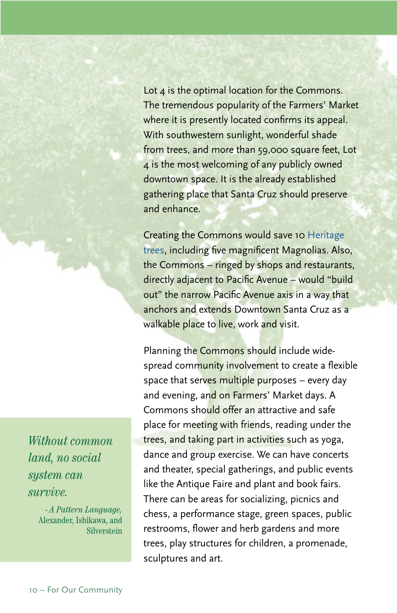Lot 4 is the optimal location for the Commons. The tremendous popularity of the Farmers' Market where it is presently located confirms its appeal. With southwestern sunlight, wonderful shade from trees, and more than 59,000 square feet, Lot 4 is the most welcoming of any publicly owned downtown space. It is the already established gathering place that Santa Cruz should preserve and enhance.

Creating the Commons would save 10 [Heritage](https://www.codepublishing.com/CA/SantaCruz/html/SantaCruz09/SantaCruz0956.html#9.56)  [trees](https://www.codepublishing.com/CA/SantaCruz/html/SantaCruz09/SantaCruz0956.html#9.56), including five magnificent Magnolias. Also, the Commons – ringed by shops and restaurants, directly adjacent to Pacific Avenue – would "build out" the narrow Pacific Avenue axis in a way that anchors and extends Downtown Santa Cruz as a walkable place to live, work and visit.

Planning the Commons should include widespread community involvement to create a flexible space that serves multiple purposes - every day and evening, and on Farmers' Market days. A Commons should offer an attractive and safe place for meeting with friends, reading under the trees, and taking part in activities such as yoga, dance and group exercise. We can have concerts and theater, special gatherings, and public events like the Antique Faire and plant and book fairs. There can be areas for socializing, picnics and chess, a performance stage, green spaces, public restrooms, flower and herb gardens and more trees, play structures for children, a promenade, sculptures and art.

*Without common land, no social system can survive.*

> - *A Pattern Language,*  Alexander, Ishikawa, and Silverstein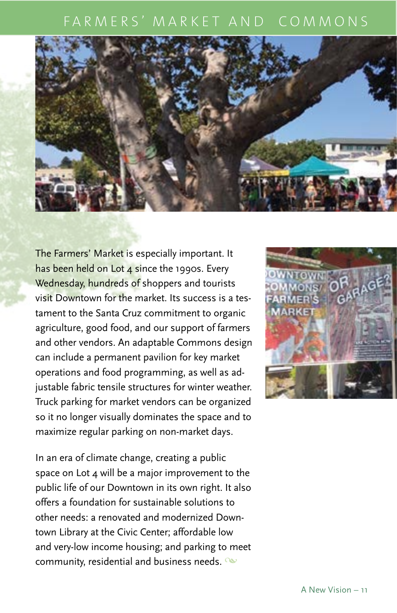## FARMERS' MARKET AND COMMONS FARMERS' MARKET AND COMMONS



The Farmers' Market is especially important. It has been held on Lot 4 since the 1990s. Every Wednesday, hundreds of shoppers and tourists visit Downtown for the market. Its success is a testament to the Santa Cruz commitment to organic agriculture, good food, and our support of farmers and other vendors. An adaptable Commons design can include a permanent pavilion for key market operations and food programming, as well as adjustable fabric tensile structures for winter weather. Truck parking for market vendors can be organized so it no longer visually dominates the space and to maximize regular parking on non-market days.

In an era of climate change, creating a public space on Lot 4 will be a major improvement to the public life of our Downtown in its own right. It also offers a foundation for sustainable solutions to other needs: a renovated and modernized Downtown Library at the Civic Center; affordable low and very-low income housing; and parking to meet community, residential and business needs.  $\infty$ 

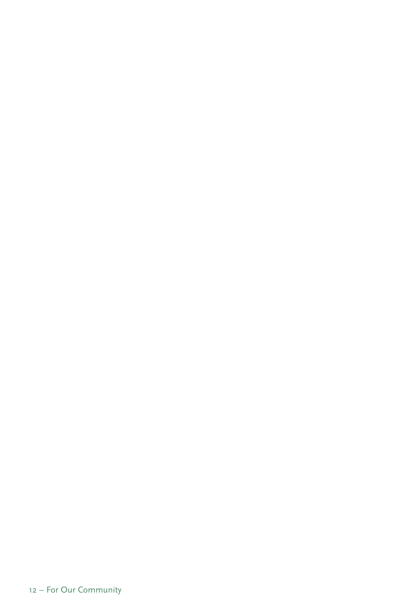12 – For Our Community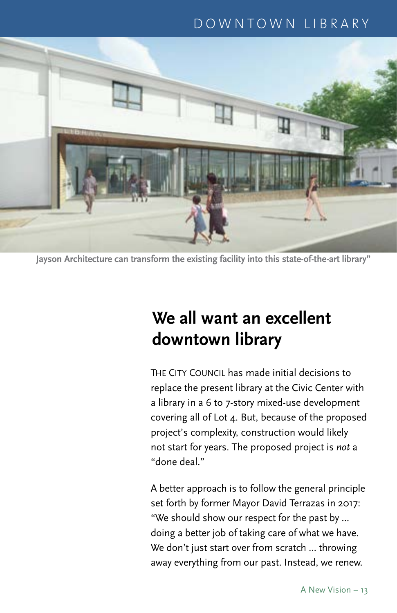#### DOWNTOWN LIBRARY



**Jayson Architecture can transform the existing facility into this state-of-the-art library"**

# **We all want an excellent downtown library**

The City Council has made initial decisions to replace the present library at the Civic Center with a library in a 6 to 7-story mixed-use development covering all of Lot 4. But, because of the proposed project's complexity, construction would likely not start for years. The proposed project is *not* a "done deal."

A better approach is to follow the general principle set forth by former Mayor David Terrazas in 2017: "We should show our respect for the past by ... doing a better job of taking care of what we have. We don't just start over from scratch ... throwing away everything from our past. Instead, we renew.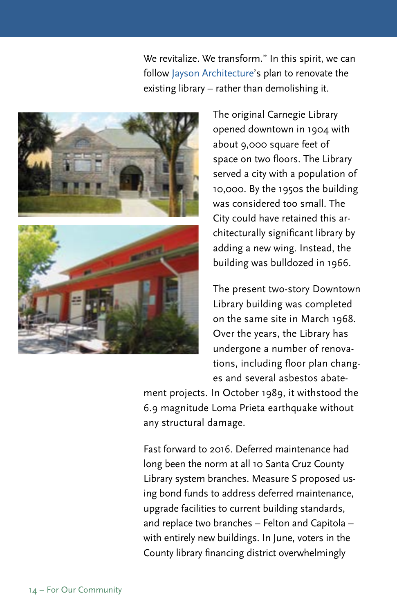We revitalize. We transform." In this spirit, we can follow [Jayson Architecture's plan](http://) to renovate the existing library – rather than demolishing it.





The original Carnegie Library opened downtown in 1904 with about 9,000 square feet of space on two floors. The Library served a city with a population of 10,000. By the 1950s the building was considered too small. The City could have retained this architecturally significant library by adding a new wing. Instead, the building was bulldozed in 1966.

The present two-story Downtown Library building was completed on the same site in March 1968. Over the years, the Library has undergone a number of renovations, including floor plan changes and several asbestos abate-

ment projects. In October 1989, it withstood the 6.9 magnitude Loma Prieta earthquake without any structural damage.

Fast forward to 2016. Deferred maintenance had long been the norm at all 10 Santa Cruz County Library system branches. Measure S proposed using bond funds to address deferred maintenance, upgrade facilities to current building standards, and replace two branches – Felton and Capitola – with entirely new buildings. In June, voters in the County library financing district overwhelmingly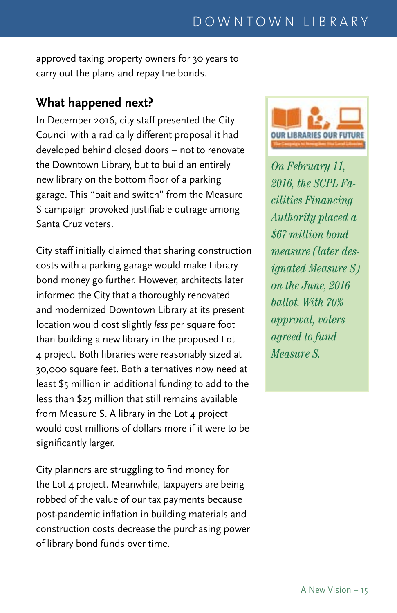approved taxing property owners for 30 years to carry out the plans and repay the bonds.

#### **What happened next?**

In December 2016, city staff presented the City Council with a radically different proposal it had developed behind closed doors – not to renovate the Downtown Library, but to build an entirely new library on the bottom floor of a parking garage. This "bait and switch" from the Measure S campaign provoked justifiable outrage among Santa Cruz voters.

City staff initially claimed that sharing construction costs with a parking garage would make Library bond money go further. However, architects later informed the City that a thoroughly renovated and modernized Downtown Library at its present location would cost slightly *less* per square foot than building a new library in the proposed Lot 4 project. Both libraries were reasonably sized at 30,000 square feet. Both alternatives now need at least \$5 million in additional funding to add to the less than \$25 million that still remains available from Measure S. A library in the Lot  $4$  project would cost millions of dollars more if it were to be significantly larger.

City planners are struggling to find money for the Lot 4 project. Meanwhile, taxpayers are being robbed of the value of our tax payments because post-pandemic inflation in building materials and construction costs decrease the purchasing power of library bond funds over time.



*On February 11, 2016, the SCPL Facilities Financing Authority placed a \$67 million bond measure (later designated Measure S) on the June, 2016 ballot. With 70% approval, voters agreed to fund Measure S.*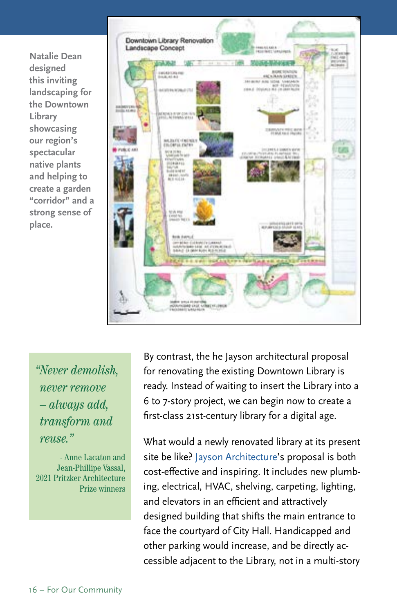**Natalie Dean designed this inviting landscaping for the Downtown Library showcasing our region's spectacular native plants and helping to create a garden "corridor" and a strong sense of place.**



*"Never demolish, never remove – always add, transform and reuse."* 

- Anne Lacaton and Jean-Phillipe Vassal, 2021 Pritzker Architecture Prize winners

By contrast, the he Jayson architectural proposal for renovating the existing Downtown Library is ready. Instead of waiting to insert the Library into a 6 to 7-story project, we can begin now to create a first-class 21st-century library for a digital age.

What would a newly renovated library at its present site be like? [Jayson Architecture'](http://)s proposal is both cost-effective and inspiring. It includes new plumbing, electrical, HVAC, shelving, carpeting, lighting, and elevators in an efficient and attractively designed building that shifts the main entrance to face the courtyard of City Hall. Handicapped and other parking would increase, and be directly accessible adjacent to the Library, not in a multi-story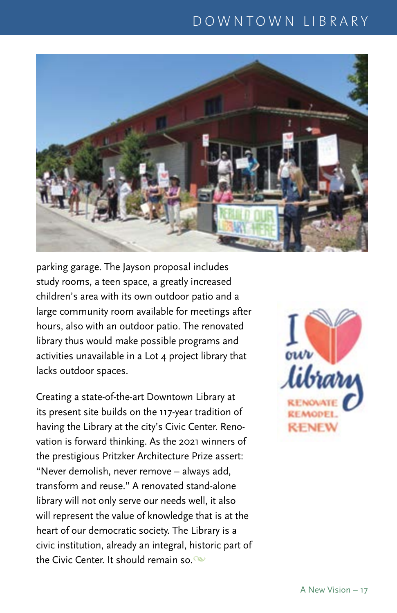### DOWNTOWN LIBRARY



parking garage. The Jayson proposal includes study rooms, a teen space, a greatly increased children's area with its own outdoor patio and a large community room available for meetings after hours, also with an outdoor patio. The renovated library thus would make possible programs and activities unavailable in a Lot 4 project library that lacks outdoor spaces.

Creating a state-of-the-art Downtown Library at its present site builds on the 117-year tradition of having the Library at the city's Civic Center. Renovation is forward thinking. As the 2021 winners of the prestigious Pritzker Architecture Prize assert: "Never demolish, never remove – always add, transform and reuse." A renovated stand-alone library will not only serve our needs well, it also will represent the value of knowledge that is at the heart of our democratic society. The Library is a civic institution, already an integral, historic part of the Civic Center. It should remain so.  $\infty$ 

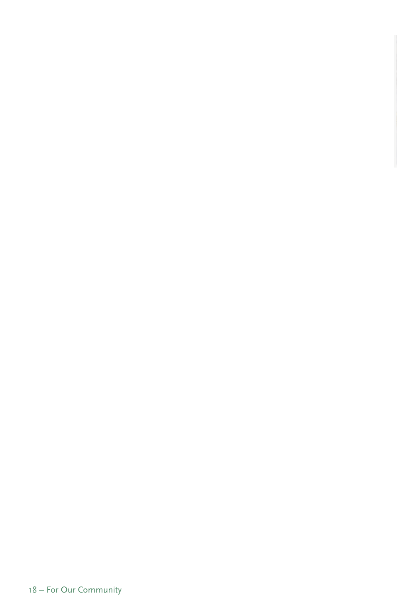18 – For Our Community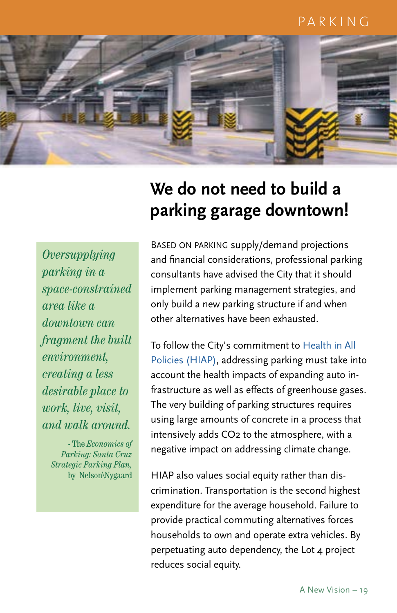#### PARKING



## *Oversupplying parking in a space-constrained area like a downtown can fragment the built environment, creating a less desirable place to work, live, visit, and walk around.*

- The *Economics of Parking: Santa Cruz Strategic Parking Plan,*  by Nelson\Nygaard

# **We do not need to build a parking garage downtown!**

Based on parking supply/demand projections and financial considerations, professional parking consultants have advised the City that it should implement parking management strategies, and only build a new parking structure if and when other alternatives have been exhausted.

To follow the City's commitment to [Health in All](https://www.cityofsantacruz.com/government/city-departments/city-manager/health-in-all-policies#!/)  [Policies \(](https://www.cityofsantacruz.com/government/city-departments/city-manager/health-in-all-policies#!/)HIAP), addressing parking must take into account the health impacts of expanding auto infrastructure as well as effects of greenhouse gases. The very building of parking structures requires using large amounts of concrete in a process that intensively adds CO2 to the atmosphere, with a negative impact on addressing climate change.

HIAP also values social equity rather than discrimination. Transportation is the second highest expenditure for the average household. Failure to provide practical commuting alternatives forces households to own and operate extra vehicles. By perpetuating auto dependency, the Lot 4 project reduces social equity.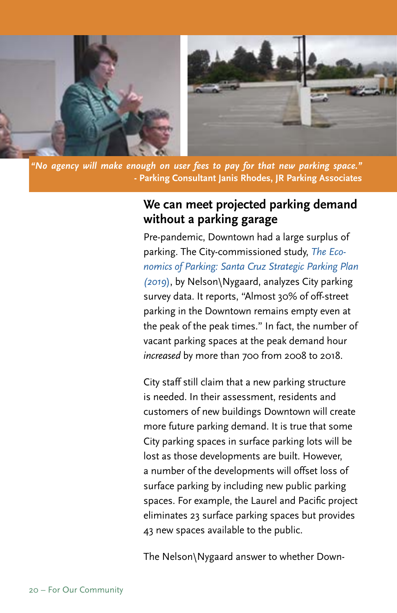

*"No agency will make enough on user fees to pay for that new parking space."*  **- Parking Consultant Janis Rhodes, JR Parking Associates**

#### **We can meet projected parking demand without a parking garage**

Pre-pandemic, Downtown had a large surplus of parking. The City-commissioned study, *[The Eco](https://ecm.cityofsantacruz.com/OnBaseAgendaOnline/Documents/ViewDocument/DT_Commission_909_Agenda_Packet_9_26_2019_8_30_00_AM.pdf?meetingId=909&documentType=AgendaPacket&itemId=0&publishId=0&isSection=false )[nomics of Parking: Santa Cruz Strategic Parking Plan](https://ecm.cityofsantacruz.com/OnBaseAgendaOnline/Documents/ViewDocument/DT_Commission_909_Agenda_Packet_9_26_2019_8_30_00_AM.pdf?meetingId=909&documentType=AgendaPacket&itemId=0&publishId=0&isSection=false )  (2019*), by Nelson\Nygaard, analyzes City parking survey data. It reports, "Almost 30% of off-street parking in the Downtown remains empty even at the peak of the peak times." In fact, the number of vacant parking spaces at the peak demand hour *increased* by more than 700 from 2008 to 2018.

City staff still claim that a new parking structure is needed. In their assessment, residents and customers of new buildings Downtown will create more future parking demand. It is true that some City parking spaces in surface parking lots will be lost as those developments are built. However, a number of the developments will offset loss of surface parking by including new public parking spaces. For example, the Laurel and Pacific project eliminates 23 surface parking spaces but provides 43 new spaces available to the public.

The Nelson\Nygaard answer to whether Down-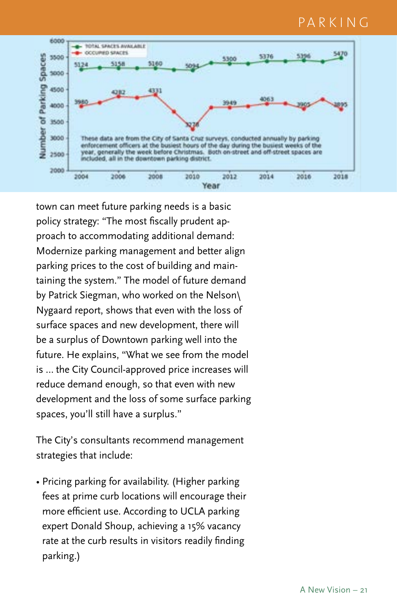#### PARKING



town can meet future parking needs is a basic policy strategy: "The most fiscally prudent approach to accommodating additional demand: Modernize parking management and better align parking prices to the cost of building and maintaining the system." The model of future demand by Patrick Siegman, who worked on the Nelson\ Nygaard report, shows that even with the loss of surface spaces and new development, there will be a surplus of Downtown parking well into the future. He explains, "What we see from the model is … the City Council-approved price increases will reduce demand enough, so that even with new development and the loss of some surface parking spaces, you'll still have a surplus."

The City's consultants recommend management strategies that include:

• Pricing parking for availability. (Higher parking fees at prime curb locations will encourage their more efficient use. According to UCLA parking expert Donald Shoup, achieving a 15% vacancy rate at the curb results in visitors readily finding parking.)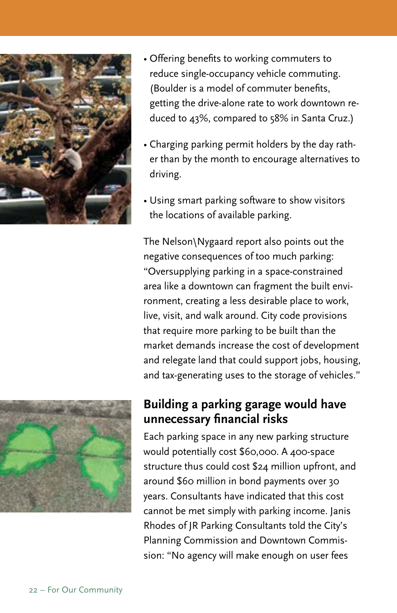

- Offering benefits to working commuters to reduce single-occupancy vehicle commuting. (Boulder is a model of commuter benefits, getting the drive-alone rate to work downtown reduced to 43%, compared to 58% in Santa Cruz.)
- Charging parking permit holders by the day rather than by the month to encourage alternatives to driving.
- Using smart parking software to show visitors the locations of available parking.

The Nelson\Nygaard report also points out the negative consequences of too much parking: "Oversupplying parking in a space-constrained area like a downtown can fragment the built environment, creating a less desirable place to work, live, visit, and walk around. City code provisions that require more parking to be built than the market demands increase the cost of development and relegate land that could support jobs, housing, and tax-generating uses to the storage of vehicles."



#### **Building a parking garage would have unnecessary financial risks**

Each parking space in any new parking structure would potentially cost \$60,000. A 400-space structure thus could cost \$24 million upfront, and around \$60 million in bond payments over 30 years. Consultants have indicated that this cost cannot be met simply with parking income. Janis Rhodes of JR Parking Consultants told the City's Planning Commission and Downtown Commission: "No agency will make enough on user fees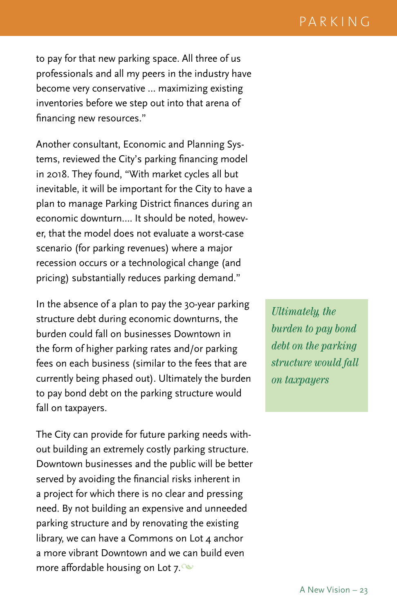to pay for that new parking space. All three of us professionals and all my peers in the industry have become very conservative … maximizing existing inventories before we step out into that arena of financing new resources."

Another consultant, Economic and Planning Systems, reviewed the City's parking financing model in 2018. They found, "With market cycles all but inevitable, it will be important for the City to have a plan to manage Parking District finances during an economic downturn…. It should be noted, however, that the model does not evaluate a worst-case scenario (for parking revenues) where a major recession occurs or a technological change (and pricing) substantially reduces parking demand."

In the absence of a plan to pay the 30-year parking structure debt during economic downturns, the burden could fall on businesses Downtown in the form of higher parking rates and/or parking fees on each business (similar to the fees that are currently being phased out). Ultimately the burden to pay bond debt on the parking structure would fall on taxpayers.

The City can provide for future parking needs without building an extremely costly parking structure. Downtown businesses and the public will be better served by avoiding the financial risks inherent in a project for which there is no clear and pressing need. By not building an expensive and unneeded parking structure and by renovating the existing library, we can have a Commons on Lot 4 anchor a more vibrant Downtown and we can build even more affordable housing on Lot  $7.$ 

*Ultimately, the burden to pay bond debt on the parking structure would fall on taxpayers*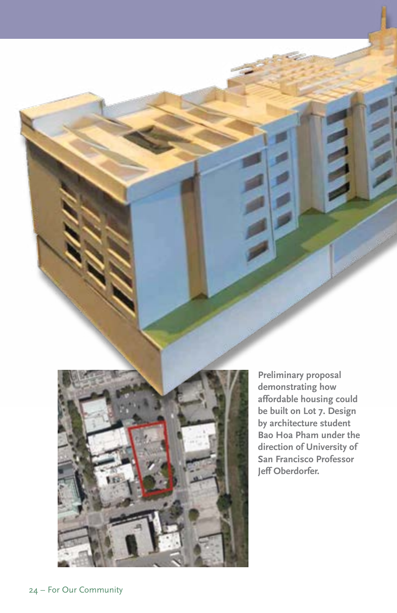

**Preliminary proposal demonstrating how affordable housing could be built on Lot 7. Design by architecture student Bao Hoa Pham under the direction of University of San Francisco Professor Jeff Oberdorfer.**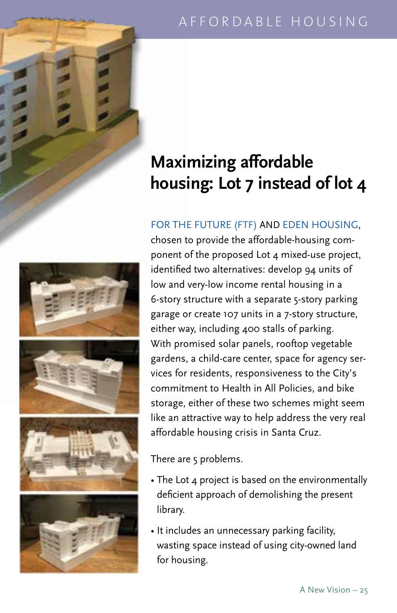## AFFORDABLE HOUSING

# **Maximizing affordable housing: Lot 7 instead of lot 4**

#### [FOR THE FUTURE](https://www.ftfhousing.com) (FTF) AND [EDEN HOUSING,](https://edenhousing.org)

chosen to provide the affordable-housing component of the proposed Lot 4 mixed-use project, identified two alternatives: develop 94 units of low and very-low income rental housing in a 6-story structure with a separate 5-story parking garage or create 107 units in a 7-story structure, either way, including 400 stalls of parking. With promised solar panels, rooftop vegetable gardens, a child-care center, space for agency services for residents, responsiveness to the City's commitment to Health in All Policies, and bike storage, either of these two schemes might seem like an attractive way to help address the very real affordable housing crisis in Santa Cruz.

There are 5 problems.

- The Lot 4 project is based on the environmentally deficient approach of demolishing the present library.
- It includes an unnecessary parking facility, wasting space instead of using city-owned land for housing.



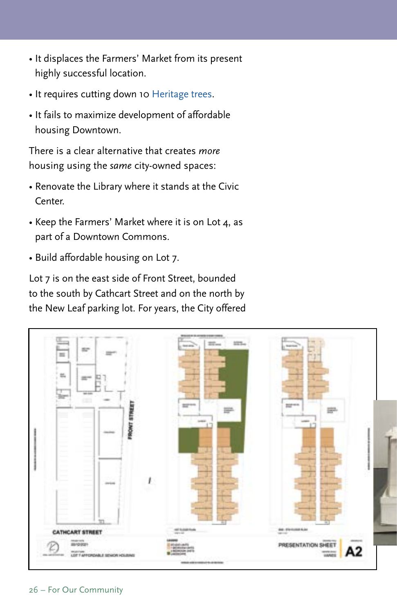- It displaces the Farmers' Market from its present highly successful location.
- It requires cutting down 10 [Heritage trees.](https://www.codepublishing.com/CA/SantaCruz/html/SantaCruz09/SantaCruz0956.html#9.56)
- It fails to maximize development of affordable housing Downtown.

There is a clear alternative that creates *more* housing using the *same* city-owned spaces:

- Renovate the Library where it stands at the Civic Center.
- Keep the Farmers' Market where it is on Lot 4, as part of a Downtown Commons.
- Build affordable housing on Lot 7.

Lot 7 is on the east side of Front Street, bounded to the south by Cathcart Street and on the north by the New Leaf parking lot. For years, the City offered

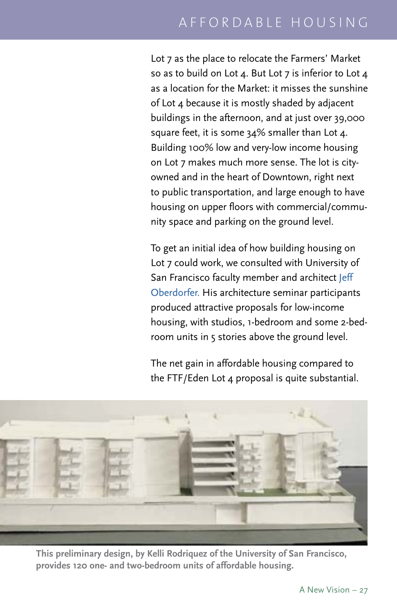### AFFORDABLE HOUSING

Lot 7 as the place to relocate the Farmers' Market so as to build on Lot 4. But Lot 7 is inferior to Lot 4 as a location for the Market: it misses the sunshine of Lot 4 because it is mostly shaded by adjacent buildings in the afternoon, and at just over 39,000 square feet, it is some 34% smaller than Lot 4. Building 100% low and very-low income housing on Lot 7 makes much more sense. The lot is cityowned and in the heart of Downtown, right next to public transportation, and large enough to have housing on upper floors with commercial/community space and parking on the ground level.

To get an initial idea of how building housing on Lot 7 could work, we consulted with University of San Francisco faculty member and architect [Jeff](https://www.linkedin.com/in/jeff-oberdorfer-faia-leed-fellow-9232876/)  [Oberdorfer.](https://www.linkedin.com/in/jeff-oberdorfer-faia-leed-fellow-9232876/) His architecture seminar participants produced attractive proposals for low-income housing, with studios, 1-bedroom and some 2-bedroom units in 5 stories above the ground level.

The net gain in affordable housing compared to the FTF/Eden Lot 4 proposal is quite substantial.



**This preliminary design, by Kelli Rodriquez of the University of San Francisco, provides 120 one- and two-bedroom units of affordable housing.**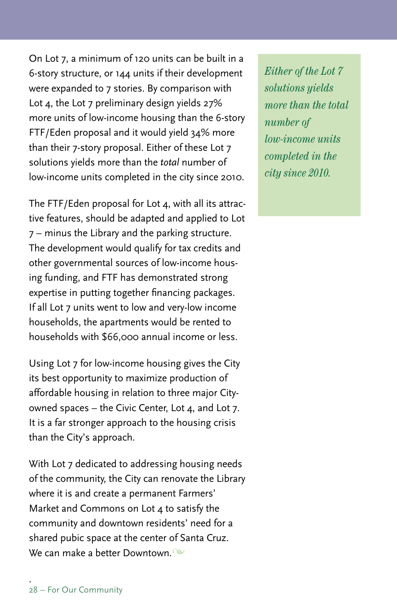On Lot 7, a minimum of 120 units can be built in a 6-story structure, or 144 units if their development were expanded to 7 stories. By comparison with Lot 4, the Lot 7 preliminary design yields 27% more units of low-income housing than the 6-story FTF/Eden proposal and it would yield 34% more than their 7-story proposal. Either of these Lot 7 solutions yields more than the *total* number of low-income units completed in the city since 2010.

The FTF/Eden proposal for Lot 4, with all its attractive features, should be adapted and applied to Lot 7 – minus the Library and the parking structure. The development would qualify for tax credits and other governmental sources of low-income housing funding, and FTF has demonstrated strong expertise in putting together financing packages. If all Lot 7 units went to low and very-low income households, the apartments would be rented to households with \$66,000 annual income or less.

Using Lot 7 for low-income housing gives the City its best opportunity to maximize production of affordable housing in relation to three major Cityowned spaces – the Civic Center, Lot 4, and Lot 7. It is a far stronger approach to the housing crisis than the City's approach.

With Lot 7 dedicated to addressing housing needs of the community, the City can renovate the Library where it is and create a permanent Farmers' Market and Commons on Lot 4 to satisfy the community and downtown residents' need for a shared pubic space at the center of Santa Cruz. We can make a better Downtown

*Either of the Lot 7 solutions yields more than the total number of low-income units completed in the city since 2010.*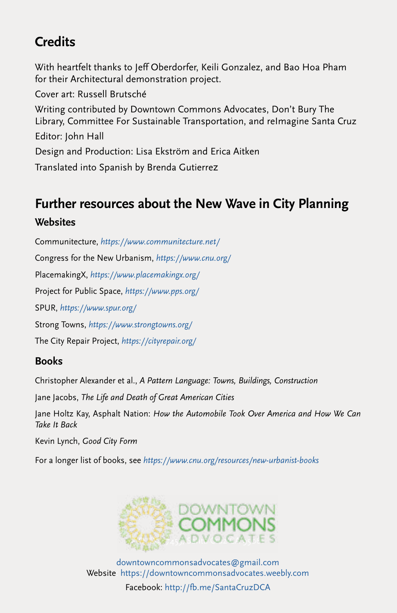## **Credits**

With heartfelt thanks to Jeff Oberdorfer, Keili Gonzalez, and Bao Hoa Pham for their Architectural demonstration project.

Cover art: Russell Brutsché Writing contributed by Downtown Commons Advocates, Don't Bury The Library, Committee For Sustainable Transportation, and reImagine Santa Cruz Editor: John Hall

Design and Production: Lisa Ekström and Erica Aitken

Translated into Spanish by Brenda Gutierrez

## **Further resources about the New Wave in City Planning**

#### **Websites**

[Communitecture](http://www.communitecture.net), *<https://www.communitecture.net/>*

[Congress for the New Urbanism](http://Congress for the New Urbanism), *<https://www.cnu.org/>*

[PlacemakingX,](http://PlacemakingX) *<https://www.placemakingx.org/>*

[Project for Public Space](https://www.pps.org), *<https://www.pps.org/>*

[SPUR,](http://www.spur.org) *<https://www.spur.org/>*

[Strong Towns](https://www.strongtowns.org), *<https://www.strongtowns.org/>*

[The City Repair Project,](https://cityrepair.org) *<https://cityrepair.org/>*

#### **Books**

Christopher Alexander et al., *A Pattern Language: Towns, Buildings, Construction*

Jane Jacobs, *The Life and Death of Great American Cities*

Jane Holtz Kay, Asphalt Nation: *How the Automobile Took Over America and How We Can Take It Back*

Kevin Lynch, *Good City Form*

For a longer list of books, see *<https://www.cnu.org/resources/new-urbanist-books>*



[downtowncommonsadvocates@gmail.com](mailto:downtowncommonsadvocates%40gmail.com?subject=) Website:<https://downtowncommonsadvocates.weebly.com> Facebook: <http://fb.me/SantaCruzDCA>